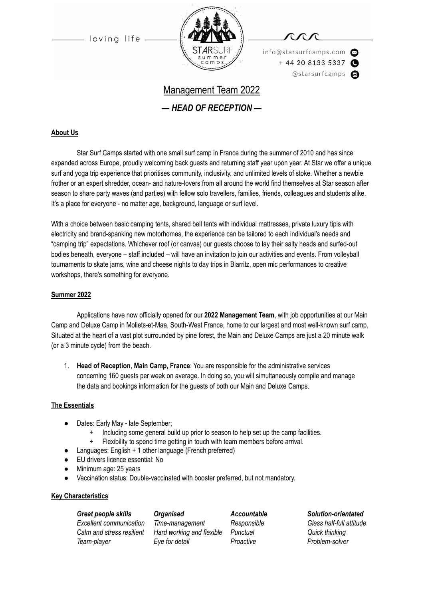loving life



info@starsurfcamps.com  $+442081335337$ @starsurfcamps @

# Management Team 2022

*— HEAD OF RECEPTION —*

#### **About Us**

Star Surf Camps started with one small surf camp in France during the summer of 2010 and has since expanded across Europe, proudly welcoming back guests and returning staff year upon year. At Star we offer a unique surf and yoga trip experience that prioritises community, inclusivity, and unlimited levels of stoke. Whether a newbie frother or an expert shredder, ocean- and nature-lovers from all around the world find themselves at Star season after season to share party waves (and parties) with fellow solo travellers, families, friends, colleagues and students alike. It's a place for everyone - no matter age, background, language or surf level.

With a choice between basic camping tents, shared bell tents with individual mattresses, private luxury tipis with electricity and brand-spanking new motorhomes, the experience can be tailored to each individual's needs and "camping trip" expectations. Whichever roof (or canvas) our guests choose to lay their salty heads and surfed-out bodies beneath, everyone – staff included – will have an invitation to join our activities and events. From volleyball tournaments to skate jams, wine and cheese nights to day trips in Biarritz, open mic performances to creative workshops, there's something for everyone.

#### **Summer 2022**

Applications have now officially opened for our **2022 Management Team**, with job opportunities at our Main Camp and Deluxe Camp in Moliets-et-Maa, South-West France, home to our largest and most well-known surf camp. Situated at the heart of a vast plot surrounded by pine forest, the Main and Deluxe Camps are just a 20 minute walk (or a 3 minute cycle) from the beach.

1. **Head of Reception**, **Main Camp, France**: You are responsible for the administrative services concerning 160 guests per week on average. In doing so, you will simultaneously compile and manage the data and bookings information for the guests of both our Main and Deluxe Camps.

#### **The Essentials**

- Dates: Early May late September;
	- Including some general build up prior to season to help set up the camp facilities.
	- + Flexibility to spend time getting in touch with team members before arrival.
- Languages: English + 1 other language (French preferred)
- EU drivers licence essential: No
- Minimum age: 25 years
- Vaccination status: Double-vaccinated with booster preferred, but not mandatory.

#### **Key Characteristics**

*Great people skills Organised Accountable Solution-orientated Excellent communication Time-management Responsible Glass half-full attitude Calm and stress resilient Hard working and flexible Punctual Quick thinking Team-player Eye for detail Proactive Problem-solver*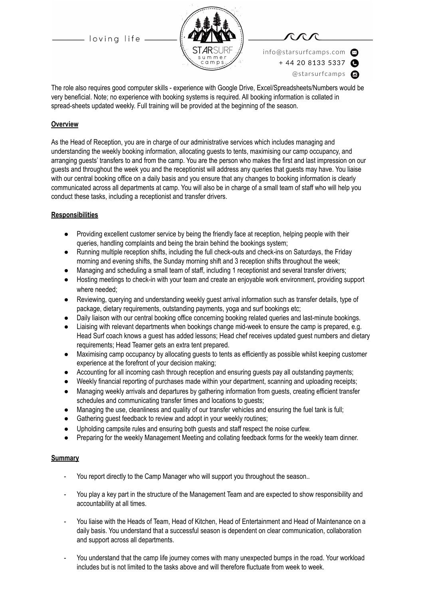- loving life -



info@starsurfcamps.com  $+442081335337$ @starsurfcamps @

The role also requires good computer skills - experience with Google Drive, Excel/Spreadsheets/Numbers would be very beneficial. Note; no experience with booking systems is required. All booking information is collated in spread-sheets updated weekly. Full training will be provided at the beginning of the season.

#### **Overview**

As the Head of Reception, you are in charge of our administrative services which includes managing and understanding the weekly booking information, allocating guests to tents, maximising our camp occupancy, and arranging guests' transfers to and from the camp. You are the person who makes the first and last impression on our guests and throughout the week you and the receptionist will address any queries that guests may have. You liaise with our central booking office on a daily basis and you ensure that any changes to booking information is clearly communicated across all departments at camp. You will also be in charge of a small team of staff who will help you conduct these tasks, including a receptionist and transfer drivers.

#### **Responsibilities**

- Providing excellent customer service by being the friendly face at reception, helping people with their queries, handling complaints and being the brain behind the bookings system;
- Running multiple reception shifts, including the full check-outs and check-ins on Saturdays, the Friday morning and evening shifts, the Sunday morning shift and 3 reception shifts throughout the week;
- Managing and scheduling a small team of staff, including 1 receptionist and several transfer drivers;
- Hosting meetings to check-in with your team and create an enjoyable work environment, providing support where needed;
- Reviewing, querying and understanding weekly guest arrival information such as transfer details, type of package, dietary requirements, outstanding payments, yoga and surf bookings etc;
- Daily liaison with our central booking office concerning booking related queries and last-minute bookings.
- Liaising with relevant departments when bookings change mid-week to ensure the camp is prepared, e.g. Head Surf coach knows a guest has added lessons; Head chef receives updated guest numbers and dietary requirements; Head Teamer gets an extra tent prepared.
- Maximising camp occupancy by allocating guests to tents as efficiently as possible whilst keeping customer experience at the forefront of your decision making;
- Accounting for all incoming cash through reception and ensuring guests pay all outstanding payments;
- Weekly financial reporting of purchases made within your department, scanning and uploading receipts;
- Managing weekly arrivals and departures by gathering information from guests, creating efficient transfer schedules and communicating transfer times and locations to guests;
- Managing the use, cleanliness and quality of our transfer vehicles and ensuring the fuel tank is full;
- Gathering guest feedback to review and adopt in your weekly routines;
- Upholding campsite rules and ensuring both guests and staff respect the noise curfew.
- Preparing for the weekly Management Meeting and collating feedback forms for the weekly team dinner.

#### **Summary**

- You report directly to the Camp Manager who will support you throughout the season..
- You play a key part in the structure of the Management Team and are expected to show responsibility and accountability at all times.
- You liaise with the Heads of Team, Head of Kitchen, Head of Entertainment and Head of Maintenance on a daily basis. You understand that a successful season is dependent on clear communication, collaboration and support across all departments.
- You understand that the camp life journey comes with many unexpected bumps in the road. Your workload includes but is not limited to the tasks above and will therefore fluctuate from week to week.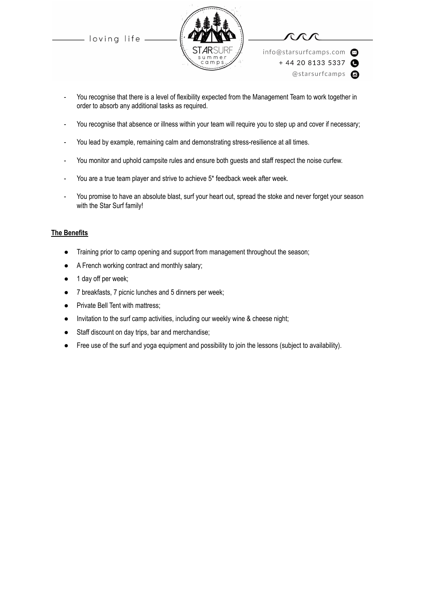loving life





info@starsurfcamps.com  $+442081335337$ @starsurfcamps @

- You recognise that there is a level of flexibility expected from the Management Team to work together in order to absorb any additional tasks as required.
- You recognise that absence or illness within your team will require you to step up and cover if necessary;
- You lead by example, remaining calm and demonstrating stress-resilience at all times.
- You monitor and uphold campsite rules and ensure both guests and staff respect the noise curfew.
- You are a true team player and strive to achieve 5\* feedback week after week.
- You promise to have an absolute blast, surf your heart out, spread the stoke and never forget your season with the Star Surf family!

#### **The Benefits**

- Training prior to camp opening and support from management throughout the season;
- A French working contract and monthly salary;
- 1 day off per week;
- 7 breakfasts, 7 picnic lunches and 5 dinners per week;
- Private Bell Tent with mattress;
- Invitation to the surf camp activities, including our weekly wine & cheese night;
- Staff discount on day trips, bar and merchandise;
- Free use of the surf and yoga equipment and possibility to join the lessons (subject to availability).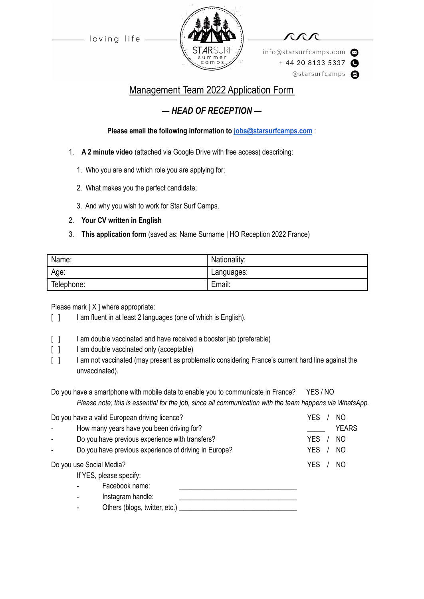loving life



info@starsurfcamps.com  $+442081335337$ @starsurfcamps c

## Management Team 2022 Application Form

## *— HEAD OF RECEPTION —*

### **Please email the following information to [jobs@starsurfcamps.com](mailto:jobs@starsurfcamps.com)** :

- 1. **A 2 minute video** (attached via Google Drive with free access) describing:
	- 1️. Who you are and which role you are applying for;
	- 2. What makes you the perfect candidate;
	- 3️. And why you wish to work for Star Surf Camps.

### 2. **Your CV written in English**

3. **This application form** (saved as: Name Surname | HO Reception 2022 France)

| Name:      | Nationality: |
|------------|--------------|
| Age:       | Languages:   |
| Telephone: | Email:       |

Please mark [X ] where appropriate:

- [ ] I am fluent in at least 2 languages (one of which is English).
- [  $\vert$  ] I am double vaccinated and have received a booster jab (preferable)
- [ ] I am double vaccinated only (acceptable)
- [ ] I am not vaccinated (may present as problematic considering France's current hard line against the unvaccinated).
- Do you have a smartphone with mobile data to enable you to communicate in France? YES / NO *Please note; this is essential for the job, since all communication with the team happens via WhatsApp.*

| Do you have a valid European driving licence?         | YES        | NO             |
|-------------------------------------------------------|------------|----------------|
| How many years have you been driving for?             |            | <b>YEARS</b>   |
| Do you have previous experience with transfers?       | <b>YES</b> | N <sub>O</sub> |
| Do you have previous experience of driving in Europe? | <b>YES</b> | N <sub>O</sub> |
| Do you use Social Media?                              | YES        | NO             |
| If YES, please specify:                               |            |                |
| Facebook name:                                        |            |                |
| Instagram handle:                                     |            |                |
| Others (blogs, twitter, etc.)                         |            |                |